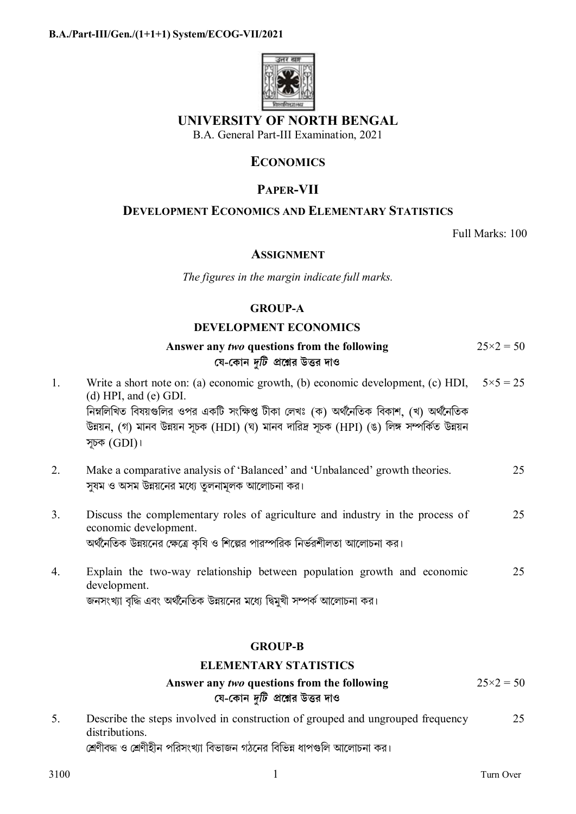

# **UNIVERSITY OF NORTH BENGAL**

B.A. General Part-III Examination, 2021

# **ECONOMICS**

# **PAPER-VII**

## **DEVELOPMENT ECONOMICS AND ELEMENTARY STATISTICS**

Full Marks: 100

## **ASSIGNMENT**

*The figures in the margin indicate full marks.* 

# **GROUP-A**

## **DEVELOPMENT ECONOMICS**

|    | Answer any two questions from the following<br>যে-কোন <i>দুটি প্র</i> শ্নের উত্তর দাও                                                                                                                                                                                                                                  | $25 \times 2 = 50$ |
|----|------------------------------------------------------------------------------------------------------------------------------------------------------------------------------------------------------------------------------------------------------------------------------------------------------------------------|--------------------|
| 1. | Write a short note on: (a) economic growth, (b) economic development, (c) HDI,<br>$(d)$ HPI, and $(e)$ GDI.<br>নিম্নলিখিত বিষয়গুলির ওপর একটি সংক্ষিপ্ত টীকা লেখঃ (ক) অর্থনৈতিক বিকাশ, (খ) অর্থনৈতিক<br>উন্নয়ন, (গ) মানব উন্নয়ন সূচক (HDI) (ঘ) মানব দারিদ্র সূচক (HPI) (ঙ) লিঙ্গ সম্পর্কিত উন্নয়ন<br>সূচক $(GDI)$ । | $5 \times 5 = 25$  |
| 2. | Make a comparative analysis of 'Balanced' and 'Unbalanced' growth theories.<br>সুষম ও অসম উন্নয়নের মধ্যে তুলনামূলক আলোচনা কর।                                                                                                                                                                                         | 25                 |
| 3. | Discuss the complementary roles of agriculture and industry in the process of<br>economic development.<br>অর্থনৈতিক উন্নয়নের ক্ষেত্রে কৃষি ও শিল্পের পারস্পরিক নির্ভরশীলতা আলোচনা কর।                                                                                                                                 | 25                 |
| 4. | Explain the two-way relationship between population growth and economic<br>development.<br>জনসংখ্যা বৃদ্ধি এবং অর্থনৈতিক উন্নয়নের মধ্যে দ্বিমুখী সম্পর্ক আলোচনা কর।                                                                                                                                                   | 25                 |

## **GROUP-B**

## **ELEMENTARY STATISTICS**

#### **Answer any** *two* **questions from the following েয-েকান** *dিট* **pেűর উtর দাও**  $25 \times 2 = 50$

5. Describe the steps involved in construction of grouped and ungrouped frequency distributions. শ্রেণীবদ্ধ ও শ্রেণীহীন পরিসংখ্যা বিভাজন গঠনের বিভিন্ন ধাপগুলি আলোচনা কর। 25